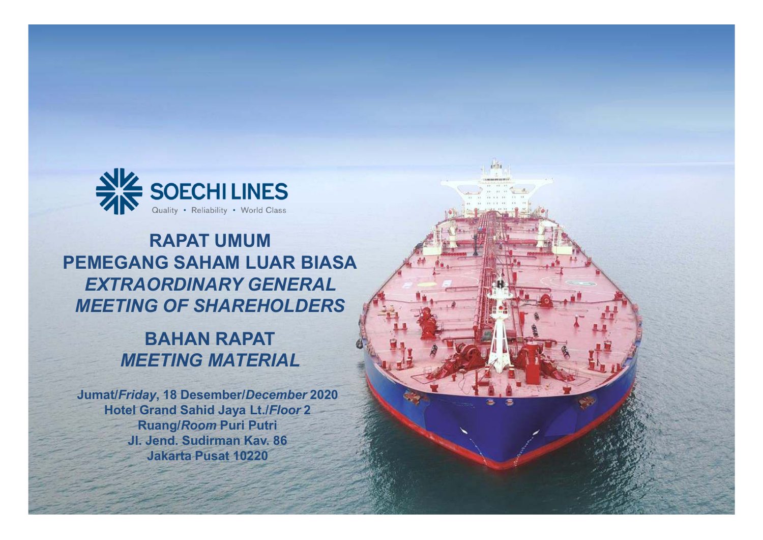

### **RAPAT UMUM PEMEGANG SAHAM LUAR BIASA***EXTRAORDINARY GENERAL MEETING OF SHAREHOLDERS*

### **BAHAN RAPAT***MEETING MATERIAL*

**Jumat/***Friday***, <sup>18</sup> Desember/***December* **<sup>2020</sup> Hotel Grand Sahid Jaya Lt./***Floor* **<sup>2</sup> Ruang/***Room* **Puri Putri Jl. Jend. Sudirman Kav. 86Jakarta Pusat <sup>10220</sup>**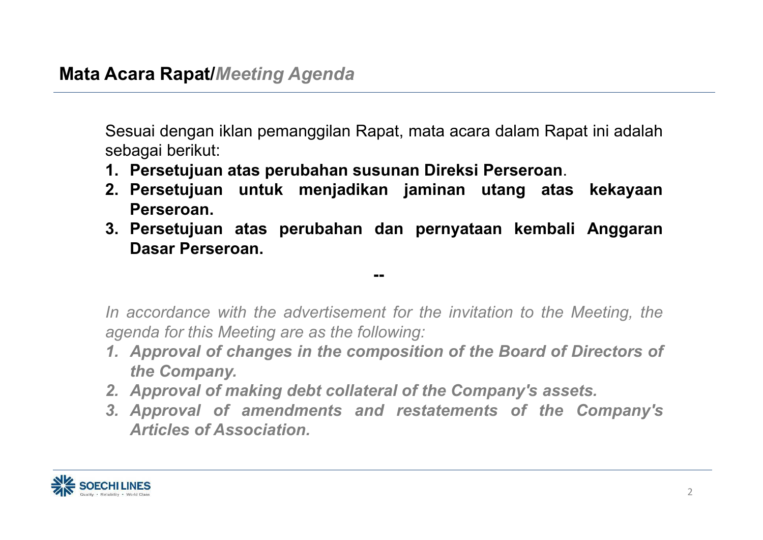Sesuai dengan iklan pemanggilan Rapat, mata acara dalam Rapat ini adalah sebagai berikut:

- **1. Persetujuan atas perubahan susunan Direksi Perseroan**.
- **2. Persetujuan untuk menjadikan jaminan utang atas kekayaan Perseroan.**
- **3. Persetujuan atas perubahan dan pernyataan kembali Anggaran Dasar Perseroan.**

**--**

In accordance with the advertisement for the invitation to the Meeting, the *agenda for this Meeting are as the following:*

- 1. Approval of changes in the composition of the Board of Directors of *the Company.*
- *2. Approval of making debt collateral of the Company's assets.*
- *3. Approval of amendments and restatements of the Company's Articles of Association.*

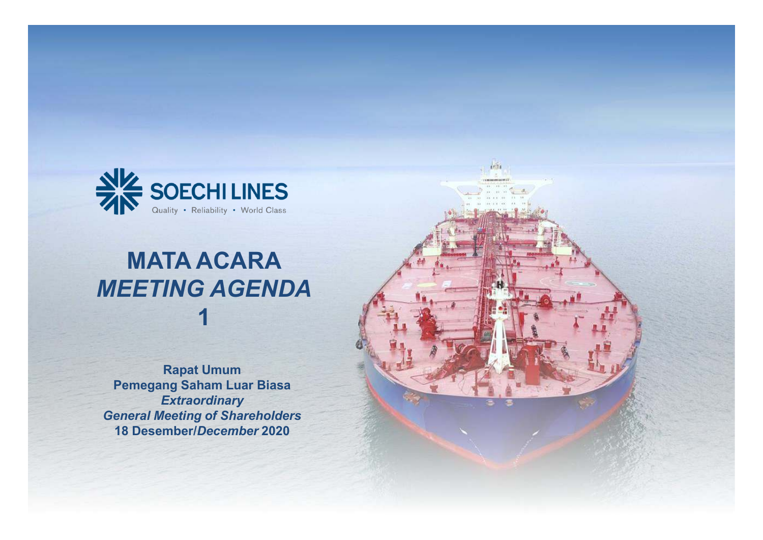

## **MATA ACARA** *MEETING AGENDA***1**

**Rapat Umum Pemegang Saham Luar Biasa***Extraordinary General Meeting of Shareholders***<sup>18</sup> Desember/***December* **<sup>2020</sup>**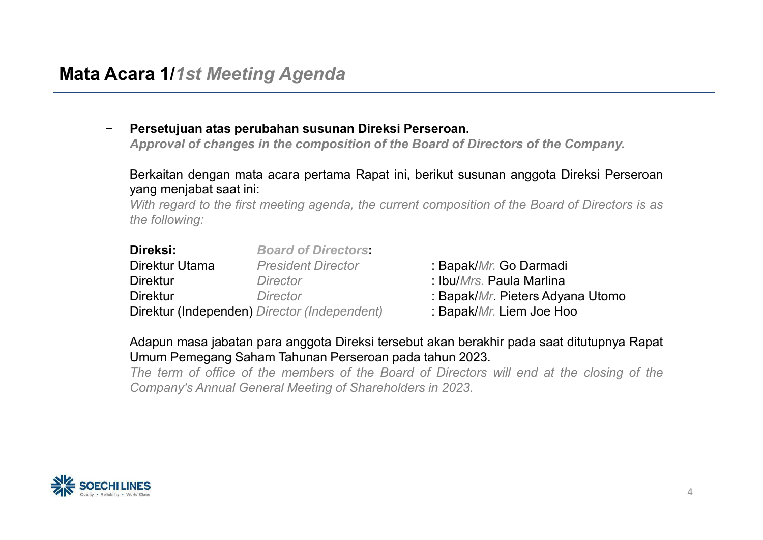|                                                                                                                                                                                                                                                                                                                 | Persetujuan atas perubahan susunan Direksi Perseroan.<br>Approval of changes in the composition of the Board of Directors of the Company.<br>Berkaitan dengan mata acara pertama Rapat ini, berikut susunan anggota Direksi Perseroan<br>yang menjabat saat ini:<br>With regard to the first meeting agenda, the current composition of the Board of Directors is as<br>the following: |                                                                                                                                        |                                                                                                                    |  |  |
|-----------------------------------------------------------------------------------------------------------------------------------------------------------------------------------------------------------------------------------------------------------------------------------------------------------------|----------------------------------------------------------------------------------------------------------------------------------------------------------------------------------------------------------------------------------------------------------------------------------------------------------------------------------------------------------------------------------------|----------------------------------------------------------------------------------------------------------------------------------------|--------------------------------------------------------------------------------------------------------------------|--|--|
|                                                                                                                                                                                                                                                                                                                 | Direksi:<br>Direktur Utama<br><b>Direktur</b><br><b>Direktur</b>                                                                                                                                                                                                                                                                                                                       | <b>Board of Directors:</b><br><b>President Director</b><br>Director<br><b>Director</b><br>Direktur (Independen) Director (Independent) | : Bapak/Mr. Go Darmadi<br>: Ibu/Mrs. Paula Marlina<br>: Bapak/Mr. Pieters Adyana Utomo<br>: Bapak/Mr. Liem Joe Hoo |  |  |
| Adapun masa jabatan para anggota Direksi tersebut akan berakhir pada saat ditutupnya Rapat<br>Umum Pemegang Saham Tahunan Perseroan pada tahun 2023.<br>The term of office of the members of the Board of Directors will end at the closing of the<br>Company's Annual General Meeting of Shareholders in 2023. |                                                                                                                                                                                                                                                                                                                                                                                        |                                                                                                                                        |                                                                                                                    |  |  |
|                                                                                                                                                                                                                                                                                                                 |                                                                                                                                                                                                                                                                                                                                                                                        |                                                                                                                                        |                                                                                                                    |  |  |

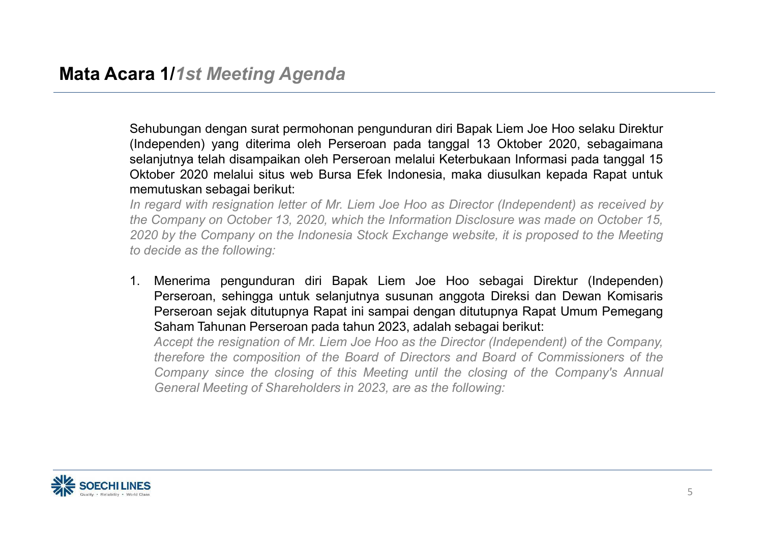Sehubungan dengan surat permohonan pengunduran diri Bapak Liem Joe Hoo selaku Direktur (Independen) yang diterima oleh Perseroan pada tanggal <sup>13</sup> Oktober 2020, sebagaimana selanjutnya telah disampaikan oleh Perseroan melalui Keterbukaan Informasi pada tanggal <sup>15</sup> Oktober <sup>2020</sup> melalui situs web Bursa Efek Indonesia, maka diusulkan kepada Rapat untuk memutuskan sebagai berikut:

In regard with resignation letter of Mr. Liem Joe Hoo as Director (Independent) as received by the Company on October 13, 2020, which the Information Disclosure was made on October 15. 2020 by the Company on the Indonesia Stock Exchange website, it is proposed to the Meeting *to decide as the following:*

1. Menerima pengunduran diri Bapak Liem Joe Hoo sebagai Direktur (Independen) Perseroan, sehingga untuk selanjutnya susunan anggota Direksi dan Dewan Komisaris Perseroan sejak ditutupnya Rapat ini sampai dengan ditutupnya Rapat Umum Pemegang Saham Tahunan Perseroan pada tahun 2023, adalah sebagai berikut:

Accept the resignation of Mr. Liem Joe Hoo as the Director (Independent) of the Company. therefore the composition of the Board of Directors and Board of Commissioners of the Company since the closing of this Meeting until the closing of the Company's Annual *General Meeting of Shareholders in 2023, are as the following:*

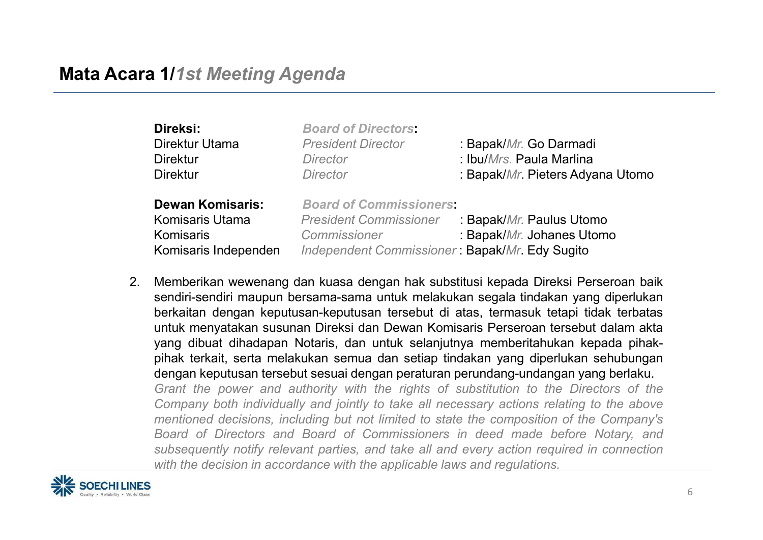| Direksi:<br>Direktur Utama<br><b>Direktur</b><br><b>Direktur</b>                       | <b>Board of Directors:</b><br><b>President Director</b><br><b>Director</b><br><b>Director</b>                                     | : Bapak/Mr. Go Darmadi<br>: Ibu/Mrs. Paula Marlina<br>: Bapak/Mr. Pieters Adyana Utomo |
|----------------------------------------------------------------------------------------|-----------------------------------------------------------------------------------------------------------------------------------|----------------------------------------------------------------------------------------|
| <b>Dewan Komisaris:</b><br><b>Komisaris Utama</b><br>Komisaris<br>Komisaris Independen | <b>Board of Commissioners:</b><br><b>President Commissioner</b><br>Commissioner<br>Independent Commissioner: Bapak/Mr. Edy Sugito | : Bapak/Mr. Paulus Utomo<br>: Bapak/Mr. Johanes Utomo                                  |

2. Memberikan wewenang dan kuasa dengan hak substitusi kepada Direksi Perseroan baik sendiri-sendiri maupun bersama-sama untuk melakukan segala tindakan yang diperlukan berkaitan dengan keputusan-keputusan tersebut di atas, termasuk tetapi tidak terbatas untuk menyatakan susunan Direksi dan Dewan Komisaris Perseroan tersebut dalam akta yang dibuat dihadapan Notaris, dan untuk selanjutnya memberitahukan kepada pihakpihak terkait, serta melakukan semua dan setiap tindakan yang diperlukan sehubungan dengan keputusan tersebut sesuai dengan peraturan perundang-undangan yang berlaku. Grant the power and authority with the rights of substitution to the Directors of the Company both individually and jointly to take all necessary actions relating to the above mentioned decisions, including but not limited to state the composition of the Company's Board of Directors and Board of Commissioners in deed made before Notary, and subsequently notify relevant parties, and take all and every action required in connection *with the decision in accordance with the applicable laws and regulations.*

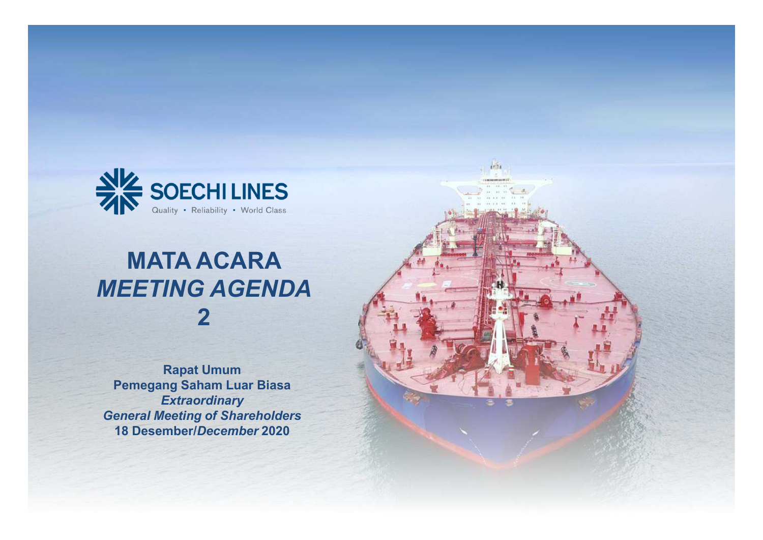

# **MATA ACARA** *MEETING AGENDA***2**

**Rapat Umum Pemegang Saham Luar Biasa***Extraordinary General Meeting of Shareholders***<sup>18</sup> Desember/***December* **<sup>2020</sup>**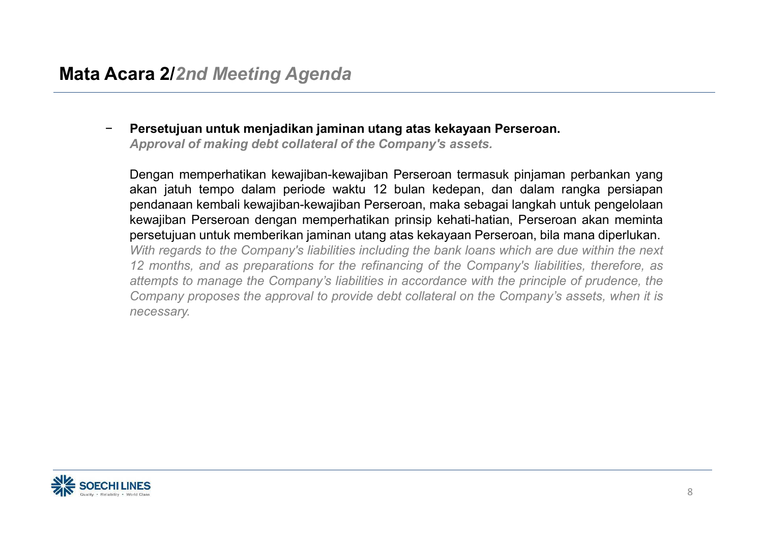**Persetujuan untuk memjadikkni jaminan utang atas kekayaan Perseroan.**<br>Approval of making debt collateral of the Company's assets.<br>Dengan memperhatikan kewajiban-kewajiban Perseroan termasuk pinjaman perbankan yang akan j

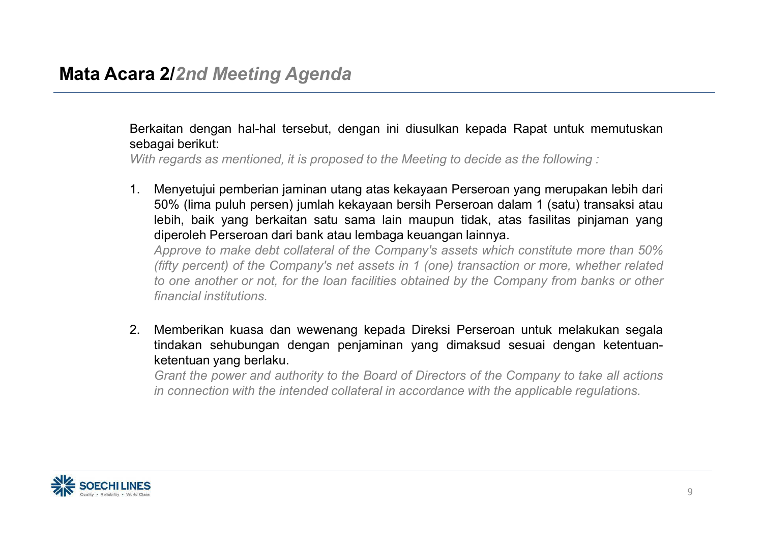Berkaitan dengan hal-hal tersebut, dengan ini diusulkan kepada Rapat untuk memutuskan sebagai berikut:

With regards as mentioned, it is proposed to the Meeting to decide as the following:

1. Menyetujui pemberian jaminan utang atas kekayaan Perseroan yang merupakan lebih dari 50% (lima puluh persen) jumlah kekayaan bersih Perseroan dalam <sup>1</sup> (satu) transaksi atau lebih, baik yang berkaitan satu sama lain maupun tidak, atas fasilitas pinjaman yang diperoleh Perseroan dari bank atau lembaga keuangan lainnya.

Approve to make debt collateral of the Company's assets which constitute more than 50% (fifty percent) of the Company's net assets in 1 (one) transaction or more, whether related<br>to are another arrest far the leap facilities abtained by the Company from banks are there to one another or not, for the loan facilities obtained by the Company from banks or other *financial institutions.*

2. Memberikan kuasa dan wewenang kepada Direksi Perseroan untuk melakukan segala tindakan sehubungan dengan penjaminan yang dimaksud sesuai dengan ketentuanketentuan yang berlaku.

Grant the power and authority to the Board of Directors of the Company to take all actions in connection with the intended collateral in accordance with the applicable regulations.

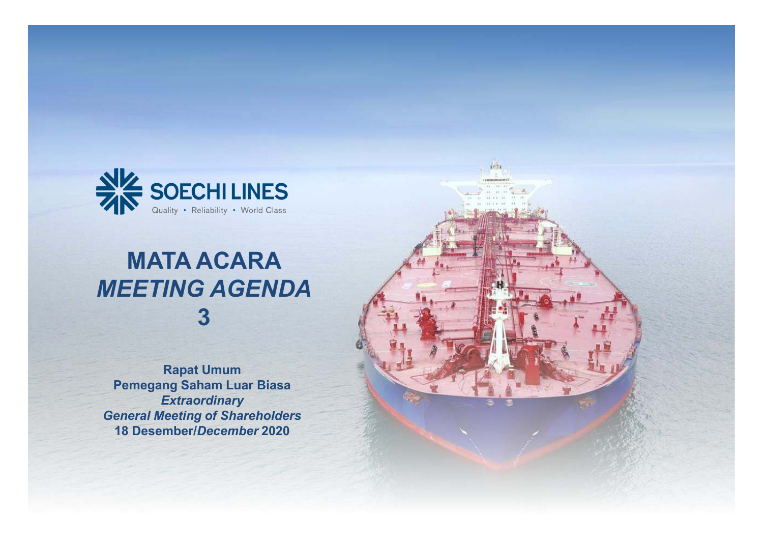

# **MATA ACARA** *MEETING AGENDA***3**

**Rapat Umum Pemegang Saham Luar Biasa***Extraordinary General Meeting of Shareholders***<sup>18</sup> Desember/***December* **<sup>2020</sup>**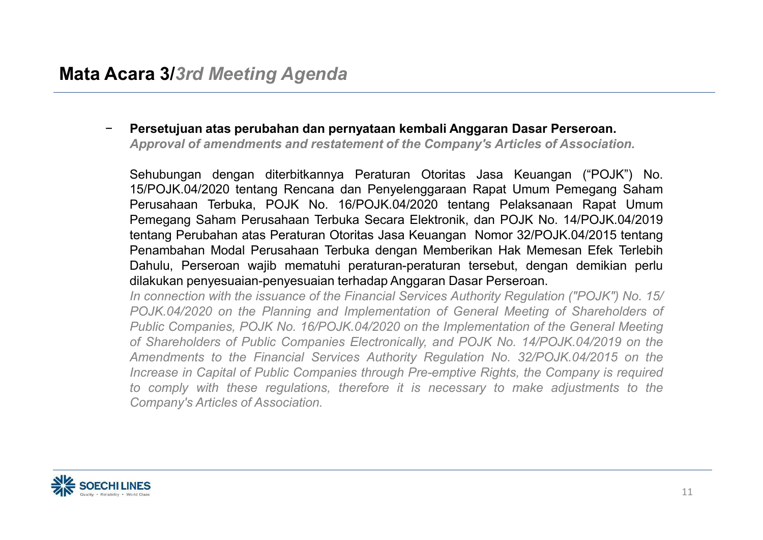- Persetujuan atas perubahan dan pernyataan kembali Anggaran Dasar Perseroan.<br>Approval of amendments and restatement of the Company's Articles of Association.<br>Sehubungan dengan diterbitkannya Peraturan Otoritas Jasa Keuang

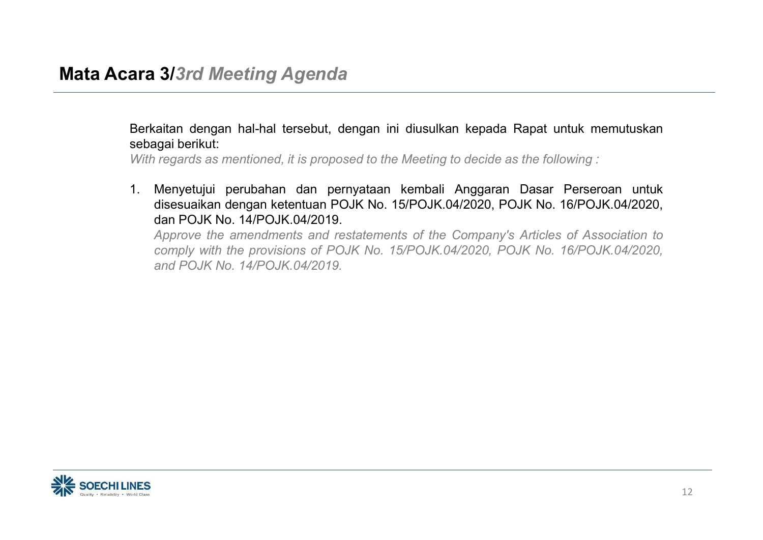Berkaitan dengan hal-hal tersebut, dengan ini diusulkan kepada Rapat untuk memutuskan sebagai berikut:

With regards as mentioned, it is proposed to the Meeting to decide as the following:

1. Menyetujui perubahan dan pernyataan kembali Anggaran Dasar Perseroan untuk disesuaikan dengan ketentuan POJK No. 15/POJK.04/2020, POJK No. 16/POJK.04/2020, dan POJK No. 14/POJK.04/2019.

Approve the amendments and restatements of the Company's Articles of Association to comply with the provisions of POJK No. 15/POJK.04/2020, POJK No. 16/POJK.04/2020, *and POJK No. 14/POJK.04/2019.*

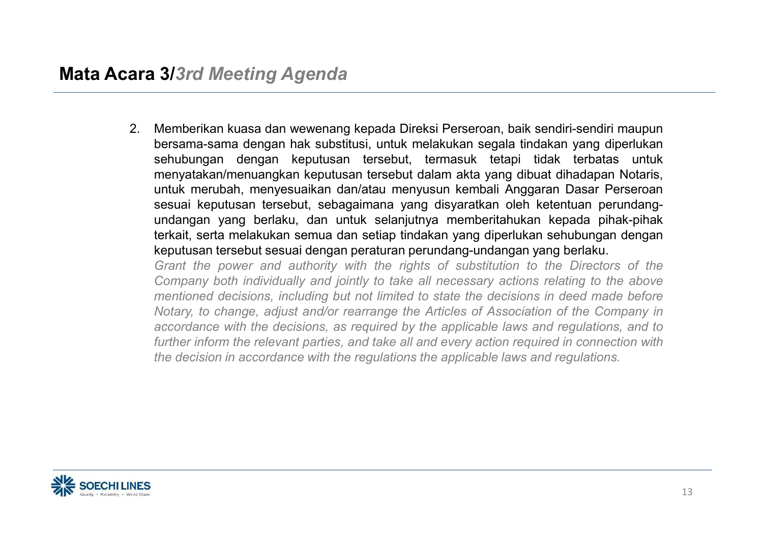2. Memberikan kuasa dan wewenang kepada Direksi Perseroan, baik sendiri-sendiri maupun bersama-sama dengan hak substitusi, untuk melakukan segala tindakan yang diperlukan sehubungan dengan keputusan tersebut, termasuk tetapi tidak terbatas untuk menyatakan/menuangkan keputusan tersebut dalam akta yang dibuat dihadapan Notaris, untuk merubah, menyesuaikan dan/atau menyusun kembali Anggaran Dasar Perseroan sesuai keputusan tersebut, sebagaimana yang disyaratkan oleh ketentuan perundangundangan yang berlaku, dan untuk selanjutnya memberitahukan kepada pihak-pihak terkait, serta melakukan semua dan setiap tindakan yang diperlukan sehubungan dengan keputusan tersebut sesuai dengan peraturan perundang-undangan yang berlaku.

Grant the power and authority with the rights of substitution to the Directors of the Company both individually and jointly to take all necessary actions relating to the above mentioned decisions, including but not limited to state the decisions in deed made before Notary, to change, adjust and/or rearrange the Articles of Association of the Company in accordance with the decisions, as required by the applicable laws and requiations, and to further inform the relevant parties, and take all and every action required in connection with the decision in accordance with the regulations the applicable laws and regulations.